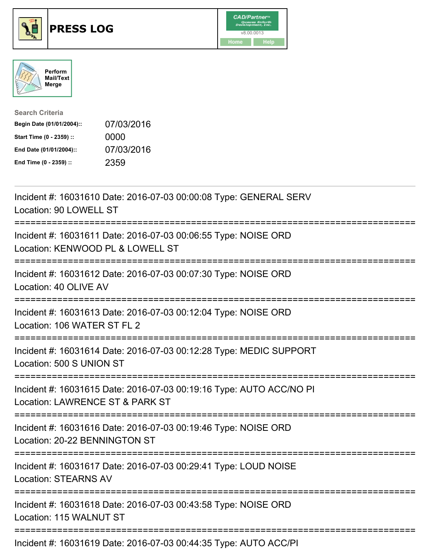

## **PRESS LOG** v8.00.0013





| <b>Search Criteria</b>    |            |
|---------------------------|------------|
| Begin Date (01/01/2004):: | 07/03/2016 |
| Start Time (0 - 2359) ::  | 0000       |
| End Date (01/01/2004)::   | 07/03/2016 |
| End Time (0 - 2359) ::    | 2359       |

Incident #: 16031610 Date: 2016-07-03 00:00:08 Type: GENERAL SERV Location: 90 LOWELL ST =========================================================================== Incident #: 16031611 Date: 2016-07-03 00:06:55 Type: NOISE ORD Location: KENWOOD PL & LOWELL ST =========================================================================== Incident #: 16031612 Date: 2016-07-03 00:07:30 Type: NOISE ORD Location: 40 OLIVE AV =========================================================================== Incident #: 16031613 Date: 2016-07-03 00:12:04 Type: NOISE ORD Location: 106 WATER ST FL 2 =========================================================================== Incident #: 16031614 Date: 2016-07-03 00:12:28 Type: MEDIC SUPPORT Location: 500 S UNION ST =========================================================================== Incident #: 16031615 Date: 2016-07-03 00:19:16 Type: AUTO ACC/NO PI Location: LAWRENCE ST & PARK ST =========================================================================== Incident #: 16031616 Date: 2016-07-03 00:19:46 Type: NOISE ORD Location: 20-22 BENNINGTON ST =========================================================================== Incident #: 16031617 Date: 2016-07-03 00:29:41 Type: LOUD NOISE Location: STEARNS AV =========================================================================== Incident #: 16031618 Date: 2016-07-03 00:43:58 Type: NOISE ORD Location: 115 WALNUT ST =========================================================================== Incident #: 16031619 Date: 2016-07-03 00:44:35 Type: AUTO ACC/PI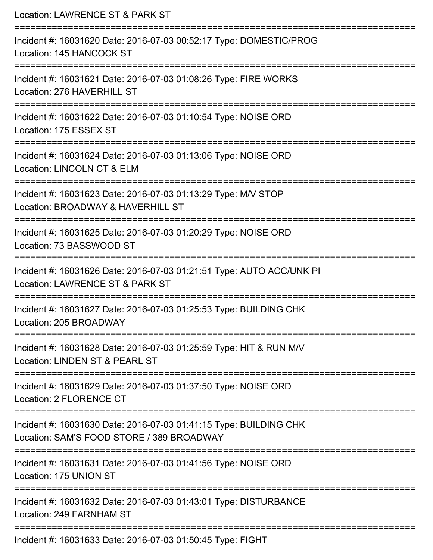| Location: LAWRENCE ST & PARK ST                                                                                                                  |
|--------------------------------------------------------------------------------------------------------------------------------------------------|
| Incident #: 16031620 Date: 2016-07-03 00:52:17 Type: DOMESTIC/PROG<br>Location: 145 HANCOCK ST                                                   |
| Incident #: 16031621 Date: 2016-07-03 01:08:26 Type: FIRE WORKS<br>Location: 276 HAVERHILL ST                                                    |
| Incident #: 16031622 Date: 2016-07-03 01:10:54 Type: NOISE ORD<br>Location: 175 ESSEX ST                                                         |
| Incident #: 16031624 Date: 2016-07-03 01:13:06 Type: NOISE ORD<br><b>Location: LINCOLN CT &amp; ELM</b>                                          |
| Incident #: 16031623 Date: 2016-07-03 01:13:29 Type: M/V STOP<br>Location: BROADWAY & HAVERHILL ST                                               |
| Incident #: 16031625 Date: 2016-07-03 01:20:29 Type: NOISE ORD<br>Location: 73 BASSWOOD ST                                                       |
| Incident #: 16031626 Date: 2016-07-03 01:21:51 Type: AUTO ACC/UNK PI<br>Location: LAWRENCE ST & PARK ST                                          |
| Incident #: 16031627 Date: 2016-07-03 01:25:53 Type: BUILDING CHK<br>Location: 205 BROADWAY                                                      |
| Incident #: 16031628 Date: 2016-07-03 01:25:59 Type: HIT & RUN M/V<br>Location: LINDEN ST & PEARL ST                                             |
| Incident #: 16031629 Date: 2016-07-03 01:37:50 Type: NOISE ORD<br>Location: 2 FLORENCE CT                                                        |
| :=============================<br>Incident #: 16031630 Date: 2016-07-03 01:41:15 Type: BUILDING CHK<br>Location: SAM'S FOOD STORE / 389 BROADWAY |
| ====================<br>Incident #: 16031631 Date: 2016-07-03 01:41:56 Type: NOISE ORD<br>Location: 175 UNION ST                                 |
| Incident #: 16031632 Date: 2016-07-03 01:43:01 Type: DISTURBANCE<br>Location: 249 FARNHAM ST                                                     |
| Incident #: 16031633 Date: 2016-07-03 01:50:45 Type: FIGHT                                                                                       |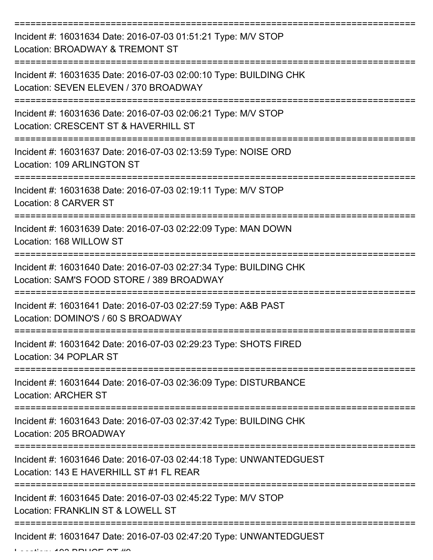| Incident #: 16031634 Date: 2016-07-03 01:51:21 Type: M/V STOP<br>Location: BROADWAY & TREMONT ST                             |
|------------------------------------------------------------------------------------------------------------------------------|
| Incident #: 16031635 Date: 2016-07-03 02:00:10 Type: BUILDING CHK<br>Location: SEVEN ELEVEN / 370 BROADWAY                   |
| Incident #: 16031636 Date: 2016-07-03 02:06:21 Type: M/V STOP<br>Location: CRESCENT ST & HAVERHILL ST                        |
| Incident #: 16031637 Date: 2016-07-03 02:13:59 Type: NOISE ORD<br>Location: 109 ARLINGTON ST                                 |
| Incident #: 16031638 Date: 2016-07-03 02:19:11 Type: M/V STOP<br><b>Location: 8 CARVER ST</b><br>--------------------------- |
| Incident #: 16031639 Date: 2016-07-03 02:22:09 Type: MAN DOWN<br>Location: 168 WILLOW ST                                     |
| Incident #: 16031640 Date: 2016-07-03 02:27:34 Type: BUILDING CHK<br>Location: SAM'S FOOD STORE / 389 BROADWAY               |
| Incident #: 16031641 Date: 2016-07-03 02:27:59 Type: A&B PAST<br>Location: DOMINO'S / 60 S BROADWAY                          |
| Incident #: 16031642 Date: 2016-07-03 02:29:23 Type: SHOTS FIRED<br>Location: 34 POPLAR ST                                   |
| Incident #: 16031644 Date: 2016-07-03 02:36:09 Type: DISTURBANCE<br><b>Location: ARCHER ST</b>                               |
| Incident #: 16031643 Date: 2016-07-03 02:37:42 Type: BUILDING CHK<br>Location: 205 BROADWAY                                  |
| Incident #: 16031646 Date: 2016-07-03 02:44:18 Type: UNWANTEDGUEST<br>Location: 143 E HAVERHILL ST #1 FL REAR                |
| Incident #: 16031645 Date: 2016-07-03 02:45:22 Type: M/V STOP<br>Location: FRANKLIN ST & LOWELL ST                           |
| Incident #: 16031647 Date: 2016-07-03 02:47:20 Type: UNWANTEDGUEST                                                           |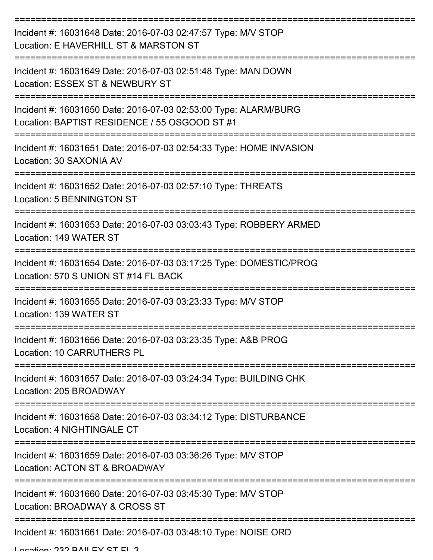| Incident #: 16031648 Date: 2016-07-03 02:47:57 Type: M/V STOP<br>Location: E HAVERHILL ST & MARSTON ST           |
|------------------------------------------------------------------------------------------------------------------|
| Incident #: 16031649 Date: 2016-07-03 02:51:48 Type: MAN DOWN<br>Location: ESSEX ST & NEWBURY ST                 |
| Incident #: 16031650 Date: 2016-07-03 02:53:00 Type: ALARM/BURG<br>Location: BAPTIST RESIDENCE / 55 OSGOOD ST #1 |
| Incident #: 16031651 Date: 2016-07-03 02:54:33 Type: HOME INVASION<br>Location: 30 SAXONIA AV                    |
| Incident #: 16031652 Date: 2016-07-03 02:57:10 Type: THREATS<br><b>Location: 5 BENNINGTON ST</b>                 |
| Incident #: 16031653 Date: 2016-07-03 03:03:43 Type: ROBBERY ARMED<br>Location: 149 WATER ST                     |
| Incident #: 16031654 Date: 2016-07-03 03:17:25 Type: DOMESTIC/PROG<br>Location: 570 S UNION ST #14 FL BACK       |
| Incident #: 16031655 Date: 2016-07-03 03:23:33 Type: M/V STOP<br>Location: 139 WATER ST                          |
| Incident #: 16031656 Date: 2016-07-03 03:23:35 Type: A&B PROG<br>Location: 10 CARRUTHERS PL                      |
| Incident #: 16031657 Date: 2016-07-03 03:24:34 Type: BUILDING CHK<br>Location: 205 BROADWAY                      |
| Incident #: 16031658 Date: 2016-07-03 03:34:12 Type: DISTURBANCE<br>Location: 4 NIGHTINGALE CT                   |
| Incident #: 16031659 Date: 2016-07-03 03:36:26 Type: M/V STOP<br>Location: ACTON ST & BROADWAY                   |
| Incident #: 16031660 Date: 2016-07-03 03:45:30 Type: M/V STOP<br>Location: BROADWAY & CROSS ST                   |
| Incident #: 16031661 Date: 2016-07-03 03:48:10 Type: NOISE ORD                                                   |

Location: 222 BAILEV ST EL 2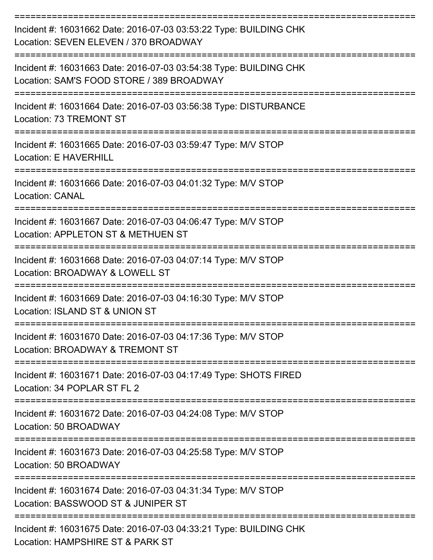| Incident #: 16031662 Date: 2016-07-03 03:53:22 Type: BUILDING CHK<br>Location: SEVEN ELEVEN / 370 BROADWAY     |
|----------------------------------------------------------------------------------------------------------------|
| Incident #: 16031663 Date: 2016-07-03 03:54:38 Type: BUILDING CHK<br>Location: SAM'S FOOD STORE / 389 BROADWAY |
| Incident #: 16031664 Date: 2016-07-03 03:56:38 Type: DISTURBANCE<br>Location: 73 TREMONT ST                    |
| Incident #: 16031665 Date: 2016-07-03 03:59:47 Type: M/V STOP<br>Location: E HAVERHILL                         |
| Incident #: 16031666 Date: 2016-07-03 04:01:32 Type: M/V STOP<br><b>Location: CANAL</b>                        |
| Incident #: 16031667 Date: 2016-07-03 04:06:47 Type: M/V STOP<br>Location: APPLETON ST & METHUEN ST            |
| Incident #: 16031668 Date: 2016-07-03 04:07:14 Type: M/V STOP<br>Location: BROADWAY & LOWELL ST                |
| Incident #: 16031669 Date: 2016-07-03 04:16:30 Type: M/V STOP<br>Location: ISLAND ST & UNION ST                |
| Incident #: 16031670 Date: 2016-07-03 04:17:36 Type: M/V STOP<br>Location: BROADWAY & TREMONT ST               |
| Incident #: 16031671 Date: 2016-07-03 04:17:49 Type: SHOTS FIRED<br>Location: 34 POPLAR ST FL 2                |
| Incident #: 16031672 Date: 2016-07-03 04:24:08 Type: M/V STOP<br>Location: 50 BROADWAY                         |
| Incident #: 16031673 Date: 2016-07-03 04:25:58 Type: M/V STOP<br>Location: 50 BROADWAY                         |
| Incident #: 16031674 Date: 2016-07-03 04:31:34 Type: M/V STOP<br>Location: BASSWOOD ST & JUNIPER ST            |
| Incident #: 16031675 Date: 2016-07-03 04:33:21 Type: BUILDING CHK<br>Location: HAMPSHIRE ST & PARK ST          |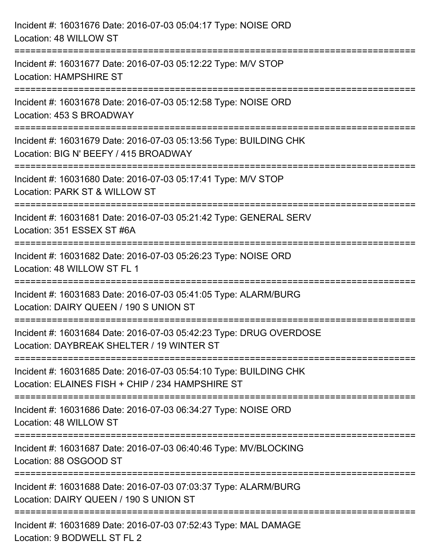| Incident #: 16031676 Date: 2016-07-03 05:04:17 Type: NOISE ORD<br>Location: 48 WILLOW ST                                       |
|--------------------------------------------------------------------------------------------------------------------------------|
| Incident #: 16031677 Date: 2016-07-03 05:12:22 Type: M/V STOP<br><b>Location: HAMPSHIRE ST</b>                                 |
| Incident #: 16031678 Date: 2016-07-03 05:12:58 Type: NOISE ORD<br>Location: 453 S BROADWAY<br>================================ |
| Incident #: 16031679 Date: 2016-07-03 05:13:56 Type: BUILDING CHK<br>Location: BIG N' BEEFY / 415 BROADWAY                     |
| Incident #: 16031680 Date: 2016-07-03 05:17:41 Type: M/V STOP<br>Location: PARK ST & WILLOW ST                                 |
| Incident #: 16031681 Date: 2016-07-03 05:21:42 Type: GENERAL SERV<br>Location: 351 ESSEX ST #6A                                |
| Incident #: 16031682 Date: 2016-07-03 05:26:23 Type: NOISE ORD<br>Location: 48 WILLOW ST FL 1                                  |
| Incident #: 16031683 Date: 2016-07-03 05:41:05 Type: ALARM/BURG<br>Location: DAIRY QUEEN / 190 S UNION ST                      |
| Incident #: 16031684 Date: 2016-07-03 05:42:23 Type: DRUG OVERDOSE<br>Location: DAYBREAK SHELTER / 19 WINTER ST                |
| Incident #: 16031685 Date: 2016-07-03 05:54:10 Type: BUILDING CHK<br>Location: ELAINES FISH + CHIP / 234 HAMPSHIRE ST          |
| Incident #: 16031686 Date: 2016-07-03 06:34:27 Type: NOISE ORD<br>Location: 48 WILLOW ST                                       |
| Incident #: 16031687 Date: 2016-07-03 06:40:46 Type: MV/BLOCKING<br>Location: 88 OSGOOD ST                                     |
| Incident #: 16031688 Date: 2016-07-03 07:03:37 Type: ALARM/BURG<br>Location: DAIRY QUEEN / 190 S UNION ST                      |
| Incident #: 16031689 Date: 2016-07-03 07:52:43 Type: MAL DAMAGE<br>Location: 9 BODWELL ST FL 2                                 |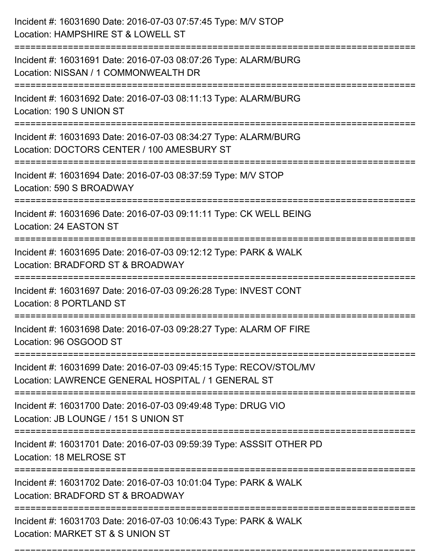| Incident #: 16031690 Date: 2016-07-03 07:57:45 Type: M/V STOP<br>Location: HAMPSHIRE ST & LOWELL ST                      |
|--------------------------------------------------------------------------------------------------------------------------|
| Incident #: 16031691 Date: 2016-07-03 08:07:26 Type: ALARM/BURG<br>Location: NISSAN / 1 COMMONWEALTH DR                  |
| Incident #: 16031692 Date: 2016-07-03 08:11:13 Type: ALARM/BURG<br>Location: 190 S UNION ST                              |
| Incident #: 16031693 Date: 2016-07-03 08:34:27 Type: ALARM/BURG<br>Location: DOCTORS CENTER / 100 AMESBURY ST            |
| Incident #: 16031694 Date: 2016-07-03 08:37:59 Type: M/V STOP<br>Location: 590 S BROADWAY                                |
| Incident #: 16031696 Date: 2016-07-03 09:11:11 Type: CK WELL BEING<br>Location: 24 EASTON ST                             |
| Incident #: 16031695 Date: 2016-07-03 09:12:12 Type: PARK & WALK<br>Location: BRADFORD ST & BROADWAY<br>==========       |
| Incident #: 16031697 Date: 2016-07-03 09:26:28 Type: INVEST CONT<br>Location: 8 PORTLAND ST                              |
| Incident #: 16031698 Date: 2016-07-03 09:28:27 Type: ALARM OF FIRE<br>Location: 96 OSGOOD ST                             |
| Incident #: 16031699 Date: 2016-07-03 09:45:15 Type: RECOV/STOL/MV<br>Location: LAWRENCE GENERAL HOSPITAL / 1 GENERAL ST |
| Incident #: 16031700 Date: 2016-07-03 09:49:48 Type: DRUG VIO<br>Location: JB LOUNGE / 151 S UNION ST                    |
| Incident #: 16031701 Date: 2016-07-03 09:59:39 Type: ASSSIT OTHER PD<br>Location: 18 MELROSE ST                          |
| Incident #: 16031702 Date: 2016-07-03 10:01:04 Type: PARK & WALK<br>Location: BRADFORD ST & BROADWAY                     |
| Incident #: 16031703 Date: 2016-07-03 10:06:43 Type: PARK & WALK<br>Location: MARKET ST & S UNION ST                     |

===========================================================================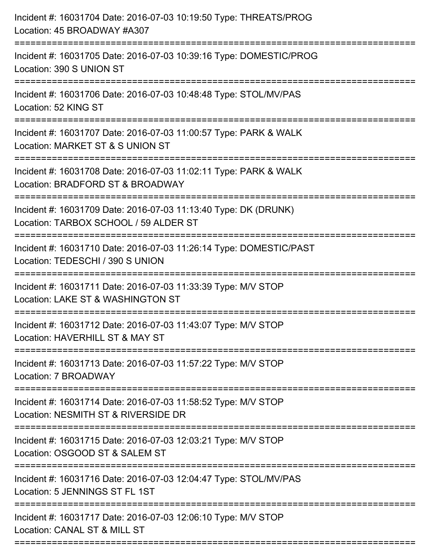| Incident #: 16031704 Date: 2016-07-03 10:19:50 Type: THREATS/PROG<br>Location: 45 BROADWAY #A307         |
|----------------------------------------------------------------------------------------------------------|
| Incident #: 16031705 Date: 2016-07-03 10:39:16 Type: DOMESTIC/PROG<br>Location: 390 S UNION ST           |
| Incident #: 16031706 Date: 2016-07-03 10:48:48 Type: STOL/MV/PAS<br>Location: 52 KING ST                 |
| Incident #: 16031707 Date: 2016-07-03 11:00:57 Type: PARK & WALK<br>Location: MARKET ST & S UNION ST     |
| Incident #: 16031708 Date: 2016-07-03 11:02:11 Type: PARK & WALK<br>Location: BRADFORD ST & BROADWAY     |
| Incident #: 16031709 Date: 2016-07-03 11:13:40 Type: DK (DRUNK)<br>Location: TARBOX SCHOOL / 59 ALDER ST |
| Incident #: 16031710 Date: 2016-07-03 11:26:14 Type: DOMESTIC/PAST<br>Location: TEDESCHI / 390 S UNION   |
| Incident #: 16031711 Date: 2016-07-03 11:33:39 Type: M/V STOP<br>Location: LAKE ST & WASHINGTON ST       |
| Incident #: 16031712 Date: 2016-07-03 11:43:07 Type: M/V STOP<br>Location: HAVERHILL ST & MAY ST         |
| Incident #: 16031713 Date: 2016-07-03 11:57:22 Type: M/V STOP<br>Location: 7 BROADWAY                    |
| Incident #: 16031714 Date: 2016-07-03 11:58:52 Type: M/V STOP<br>Location: NESMITH ST & RIVERSIDE DR     |
| Incident #: 16031715 Date: 2016-07-03 12:03:21 Type: M/V STOP<br>Location: OSGOOD ST & SALEM ST          |
| Incident #: 16031716 Date: 2016-07-03 12:04:47 Type: STOL/MV/PAS<br>Location: 5 JENNINGS ST FL 1ST       |
| Incident #: 16031717 Date: 2016-07-03 12:06:10 Type: M/V STOP<br>Location: CANAL ST & MILL ST            |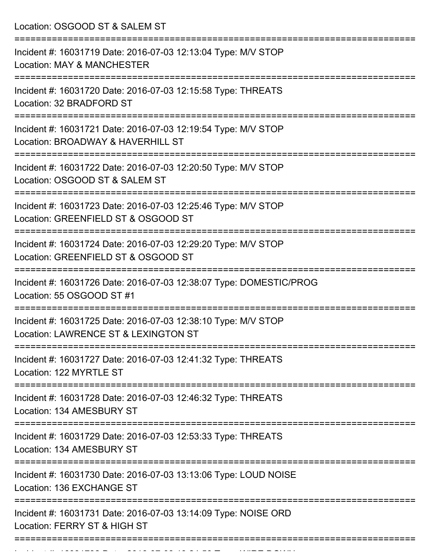Location: OSGOOD ST & SALEM ST =========================================================================== Incident #: 16031719 Date: 2016-07-03 12:13:04 Type: M/V STOP Location: MAY & MANCHESTER =========================================================================== Incident #: 16031720 Date: 2016-07-03 12:15:58 Type: THREATS Location: 32 BRADFORD ST =========================================================================== Incident #: 16031721 Date: 2016-07-03 12:19:54 Type: M/V STOP Location: BROADWAY & HAVERHILL ST =========================================================================== Incident #: 16031722 Date: 2016-07-03 12:20:50 Type: M/V STOP Location: OSGOOD ST & SALEM ST =========================================================================== Incident #: 16031723 Date: 2016-07-03 12:25:46 Type: M/V STOP Location: GREENFIELD ST & OSGOOD ST =========================================================================== Incident #: 16031724 Date: 2016-07-03 12:29:20 Type: M/V STOP Location: GREENFIELD ST & OSGOOD ST =========================================================================== Incident #: 16031726 Date: 2016-07-03 12:38:07 Type: DOMESTIC/PROG Location: 55 OSGOOD ST #1 =========================================================================== Incident #: 16031725 Date: 2016-07-03 12:38:10 Type: M/V STOP Location: LAWRENCE ST & LEXINGTON ST =========================================================================== Incident #: 16031727 Date: 2016-07-03 12:41:32 Type: THREATS Location: 122 MYRTLE ST =========================================================================== Incident #: 16031728 Date: 2016-07-03 12:46:32 Type: THREATS Location: 134 AMESBURY ST =========================================================================== Incident #: 16031729 Date: 2016-07-03 12:53:33 Type: THREATS Location: 134 AMESBURY ST =========================================================================== Incident #: 16031730 Date: 2016-07-03 13:13:06 Type: LOUD NOISE Location: 136 EXCHANGE ST =========================================================================== Incident #: 16031731 Date: 2016-07-03 13:14:09 Type: NOISE ORD Location: FERRY ST & HIGH ST ===========================================================================

Incident #: 16031732 Date: 2016 07 03 14:24:58 Type: WIRE DOWN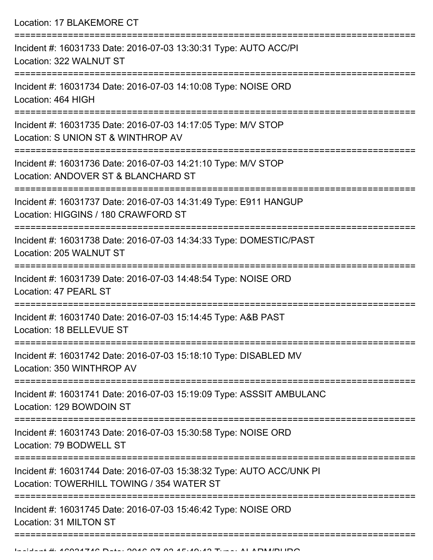Location: 17 BLAKEMORE CT =========================================================================== Incident #: 16031733 Date: 2016-07-03 13:30:31 Type: AUTO ACC/PI Location: 322 WALNUT ST =========================================================================== Incident #: 16031734 Date: 2016-07-03 14:10:08 Type: NOISE ORD Location: 464 HIGH =========================================================================== Incident #: 16031735 Date: 2016-07-03 14:17:05 Type: M/V STOP Location: S UNION ST & WINTHROP AV =========================================================================== Incident #: 16031736 Date: 2016-07-03 14:21:10 Type: M/V STOP Location: ANDOVER ST & BLANCHARD ST =========================================================================== Incident #: 16031737 Date: 2016-07-03 14:31:49 Type: E911 HANGUP Location: HIGGINS / 180 CRAWFORD ST =========================================================================== Incident #: 16031738 Date: 2016-07-03 14:34:33 Type: DOMESTIC/PAST Location: 205 WALNUT ST =========================================================================== Incident #: 16031739 Date: 2016-07-03 14:48:54 Type: NOISE ORD Location: 47 PEARL ST =========================================================================== Incident #: 16031740 Date: 2016-07-03 15:14:45 Type: A&B PAST Location: 18 BELLEVUE ST =========================================================================== Incident #: 16031742 Date: 2016-07-03 15:18:10 Type: DISABLED MV Location: 350 WINTHROP AV =========================================================================== Incident #: 16031741 Date: 2016-07-03 15:19:09 Type: ASSSIT AMBULANC Location: 129 BOWDOIN ST =========================================================================== Incident #: 16031743 Date: 2016-07-03 15:30:58 Type: NOISE ORD Location: 79 BODWELL ST =========================================================================== Incident #: 16031744 Date: 2016-07-03 15:38:32 Type: AUTO ACC/UNK PI Location: TOWERHILL TOWING / 354 WATER ST =========================================================================== Incident #: 16031745 Date: 2016-07-03 15:46:42 Type: NOISE ORD Location: 31 MILTON ST ===========================================================================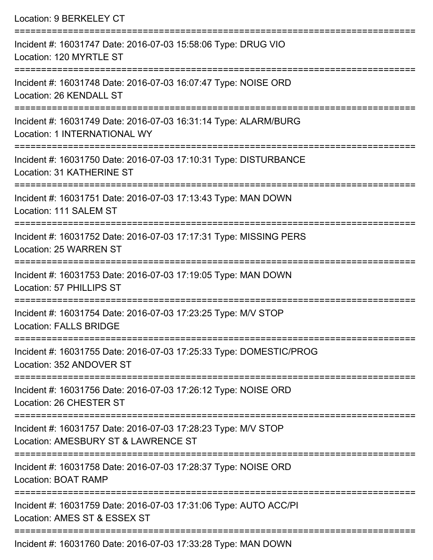| Location: 9 BERKELEY CT                                                                                                  |
|--------------------------------------------------------------------------------------------------------------------------|
| Incident #: 16031747 Date: 2016-07-03 15:58:06 Type: DRUG VIO<br>Location: 120 MYRTLE ST                                 |
| Incident #: 16031748 Date: 2016-07-03 16:07:47 Type: NOISE ORD<br>Location: 26 KENDALL ST<br>=========================== |
| Incident #: 16031749 Date: 2016-07-03 16:31:14 Type: ALARM/BURG<br>Location: 1 INTERNATIONAL WY                          |
| Incident #: 16031750 Date: 2016-07-03 17:10:31 Type: DISTURBANCE<br>Location: 31 KATHERINE ST                            |
| Incident #: 16031751 Date: 2016-07-03 17:13:43 Type: MAN DOWN<br>Location: 111 SALEM ST                                  |
| Incident #: 16031752 Date: 2016-07-03 17:17:31 Type: MISSING PERS<br>Location: 25 WARREN ST                              |
| Incident #: 16031753 Date: 2016-07-03 17:19:05 Type: MAN DOWN<br>Location: 57 PHILLIPS ST                                |
| Incident #: 16031754 Date: 2016-07-03 17:23:25 Type: M/V STOP<br><b>Location: FALLS BRIDGE</b>                           |
| Incident #: 16031755 Date: 2016-07-03 17:25:33 Type: DOMESTIC/PROG<br>Location: 352 ANDOVER ST                           |
| Incident #: 16031756 Date: 2016-07-03 17:26:12 Type: NOISE ORD<br>Location: 26 CHESTER ST                                |
| Incident #: 16031757 Date: 2016-07-03 17:28:23 Type: M/V STOP<br>Location: AMESBURY ST & LAWRENCE ST                     |
| Incident #: 16031758 Date: 2016-07-03 17:28:37 Type: NOISE ORD<br><b>Location: BOAT RAMP</b>                             |
| Incident #: 16031759 Date: 2016-07-03 17:31:06 Type: AUTO ACC/PI<br>Location: AMES ST & ESSEX ST                         |

Incident #: 16031760 Date: 2016-07-03 17:33:28 Type: MAN DOWN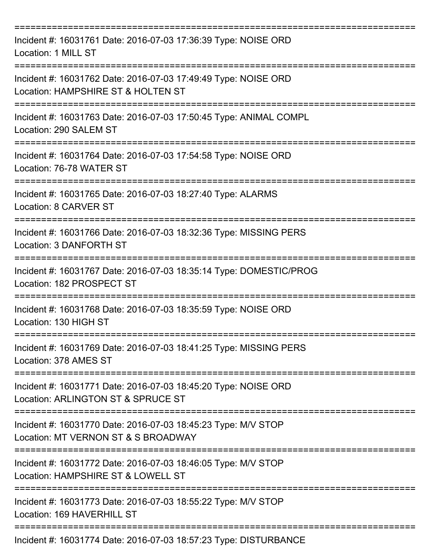| Incident #: 16031761 Date: 2016-07-03 17:36:39 Type: NOISE ORD<br>Location: 1 MILL ST                          |
|----------------------------------------------------------------------------------------------------------------|
| Incident #: 16031762 Date: 2016-07-03 17:49:49 Type: NOISE ORD<br>Location: HAMPSHIRE ST & HOLTEN ST           |
| Incident #: 16031763 Date: 2016-07-03 17:50:45 Type: ANIMAL COMPL<br>Location: 290 SALEM ST                    |
| Incident #: 16031764 Date: 2016-07-03 17:54:58 Type: NOISE ORD<br>Location: 76-78 WATER ST                     |
| Incident #: 16031765 Date: 2016-07-03 18:27:40 Type: ALARMS<br>Location: 8 CARVER ST<br>---------------------- |
| Incident #: 16031766 Date: 2016-07-03 18:32:36 Type: MISSING PERS<br>Location: 3 DANFORTH ST                   |
| Incident #: 16031767 Date: 2016-07-03 18:35:14 Type: DOMESTIC/PROG<br>Location: 182 PROSPECT ST                |
| Incident #: 16031768 Date: 2016-07-03 18:35:59 Type: NOISE ORD<br>Location: 130 HIGH ST                        |
| Incident #: 16031769 Date: 2016-07-03 18:41:25 Type: MISSING PERS<br>Location: 378 AMES ST                     |
| Incident #: 16031771 Date: 2016-07-03 18:45:20 Type: NOISE ORD<br>Location: ARLINGTON ST & SPRUCE ST           |
| Incident #: 16031770 Date: 2016-07-03 18:45:23 Type: M/V STOP<br>Location: MT VERNON ST & S BROADWAY           |
| Incident #: 16031772 Date: 2016-07-03 18:46:05 Type: M/V STOP<br>Location: HAMPSHIRE ST & LOWELL ST            |
| Incident #: 16031773 Date: 2016-07-03 18:55:22 Type: M/V STOP<br>Location: 169 HAVERHILL ST                    |
| Incident #: 16031774 Date: 2016-07-03 18:57:23 Type: DISTURBANCE                                               |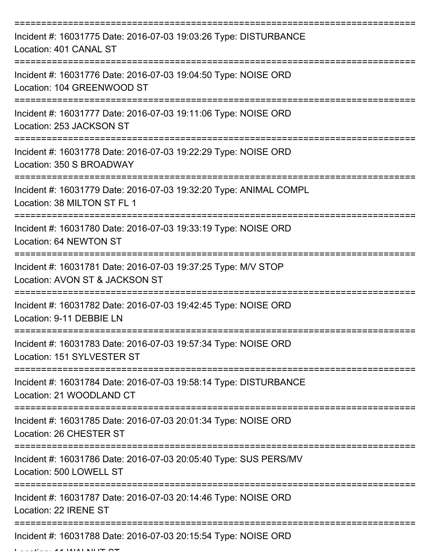| Incident #: 16031775 Date: 2016-07-03 19:03:26 Type: DISTURBANCE<br>Location: 401 CANAL ST                    |
|---------------------------------------------------------------------------------------------------------------|
| Incident #: 16031776 Date: 2016-07-03 19:04:50 Type: NOISE ORD<br>Location: 104 GREENWOOD ST                  |
| Incident #: 16031777 Date: 2016-07-03 19:11:06 Type: NOISE ORD<br>Location: 253 JACKSON ST                    |
| Incident #: 16031778 Date: 2016-07-03 19:22:29 Type: NOISE ORD<br>Location: 350 S BROADWAY                    |
| Incident #: 16031779 Date: 2016-07-03 19:32:20 Type: ANIMAL COMPL<br>Location: 38 MILTON ST FL 1              |
| Incident #: 16031780 Date: 2016-07-03 19:33:19 Type: NOISE ORD<br>Location: 64 NEWTON ST                      |
| Incident #: 16031781 Date: 2016-07-03 19:37:25 Type: M/V STOP<br>Location: AVON ST & JACKSON ST<br>========== |
| Incident #: 16031782 Date: 2016-07-03 19:42:45 Type: NOISE ORD<br>Location: 9-11 DEBBIE LN                    |
| Incident #: 16031783 Date: 2016-07-03 19:57:34 Type: NOISE ORD<br>Location: 151 SYLVESTER ST                  |
| Incident #: 16031784 Date: 2016-07-03 19:58:14 Type: DISTURBANCE<br>Location: 21 WOODLAND CT                  |
| Incident #: 16031785 Date: 2016-07-03 20:01:34 Type: NOISE ORD<br>Location: 26 CHESTER ST                     |
| Incident #: 16031786 Date: 2016-07-03 20:05:40 Type: SUS PERS/MV<br>Location: 500 LOWELL ST                   |
| Incident #: 16031787 Date: 2016-07-03 20:14:46 Type: NOISE ORD<br>Location: 22 IRENE ST                       |
| Incident #: 16031788 Date: 2016-07-03 20:15:54 Type: NOISE ORD                                                |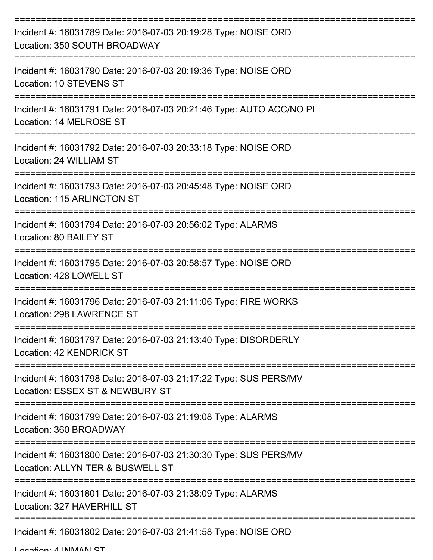| Incident #: 16031789 Date: 2016-07-03 20:19:28 Type: NOISE ORD<br>Location: 350 SOUTH BROADWAY       |
|------------------------------------------------------------------------------------------------------|
| Incident #: 16031790 Date: 2016-07-03 20:19:36 Type: NOISE ORD<br>Location: 10 STEVENS ST            |
| Incident #: 16031791 Date: 2016-07-03 20:21:46 Type: AUTO ACC/NO PI<br>Location: 14 MELROSE ST       |
| Incident #: 16031792 Date: 2016-07-03 20:33:18 Type: NOISE ORD<br>Location: 24 WILLIAM ST            |
| Incident #: 16031793 Date: 2016-07-03 20:45:48 Type: NOISE ORD<br>Location: 115 ARLINGTON ST         |
| Incident #: 16031794 Date: 2016-07-03 20:56:02 Type: ALARMS<br>Location: 80 BAILEY ST                |
| Incident #: 16031795 Date: 2016-07-03 20:58:57 Type: NOISE ORD<br>Location: 428 LOWELL ST            |
| Incident #: 16031796 Date: 2016-07-03 21:11:06 Type: FIRE WORKS<br>Location: 298 LAWRENCE ST         |
| Incident #: 16031797 Date: 2016-07-03 21:13:40 Type: DISORDERLY<br>Location: 42 KENDRICK ST          |
| Incident #: 16031798 Date: 2016-07-03 21:17:22 Type: SUS PERS/MV<br>Location: ESSEX ST & NEWBURY ST  |
| Incident #: 16031799 Date: 2016-07-03 21:19:08 Type: ALARMS<br>Location: 360 BROADWAY                |
| Incident #: 16031800 Date: 2016-07-03 21:30:30 Type: SUS PERS/MV<br>Location: ALLYN TER & BUSWELL ST |
| Incident #: 16031801 Date: 2016-07-03 21:38:09 Type: ALARMS<br>Location: 327 HAVERHILL ST            |
| Incident #: 16031802 Date: 2016-07-03 21:41:58 Type: NOISE ORD                                       |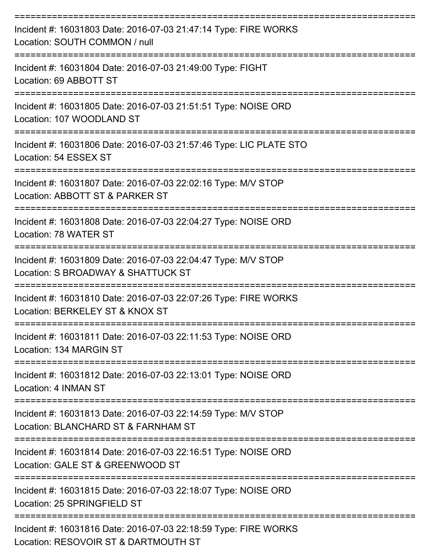| Incident #: 16031803 Date: 2016-07-03 21:47:14 Type: FIRE WORKS<br>Location: SOUTH COMMON / null     |
|------------------------------------------------------------------------------------------------------|
| Incident #: 16031804 Date: 2016-07-03 21:49:00 Type: FIGHT<br>Location: 69 ABBOTT ST                 |
| Incident #: 16031805 Date: 2016-07-03 21:51:51 Type: NOISE ORD<br>Location: 107 WOODLAND ST          |
| Incident #: 16031806 Date: 2016-07-03 21:57:46 Type: LIC PLATE STO<br>Location: 54 ESSEX ST          |
| Incident #: 16031807 Date: 2016-07-03 22:02:16 Type: M/V STOP<br>Location: ABBOTT ST & PARKER ST     |
| Incident #: 16031808 Date: 2016-07-03 22:04:27 Type: NOISE ORD<br>Location: 78 WATER ST              |
| Incident #: 16031809 Date: 2016-07-03 22:04:47 Type: M/V STOP<br>Location: S BROADWAY & SHATTUCK ST  |
| Incident #: 16031810 Date: 2016-07-03 22:07:26 Type: FIRE WORKS<br>Location: BERKELEY ST & KNOX ST   |
| Incident #: 16031811 Date: 2016-07-03 22:11:53 Type: NOISE ORD<br>Location: 134 MARGIN ST            |
| Incident #: 16031812 Date: 2016-07-03 22:13:01 Type: NOISE ORD<br>Location: 4 INMAN ST               |
| Incident #: 16031813 Date: 2016-07-03 22:14:59 Type: M/V STOP<br>Location: BLANCHARD ST & FARNHAM ST |
| Incident #: 16031814 Date: 2016-07-03 22:16:51 Type: NOISE ORD<br>Location: GALE ST & GREENWOOD ST   |
| Incident #: 16031815 Date: 2016-07-03 22:18:07 Type: NOISE ORD<br>Location: 25 SPRINGFIELD ST        |
| Incident #: 16031816 Date: 2016-07-03 22:18:59 Type: FIRE WORKS                                      |

Location: RESOVOIR ST & DARTMOUTH ST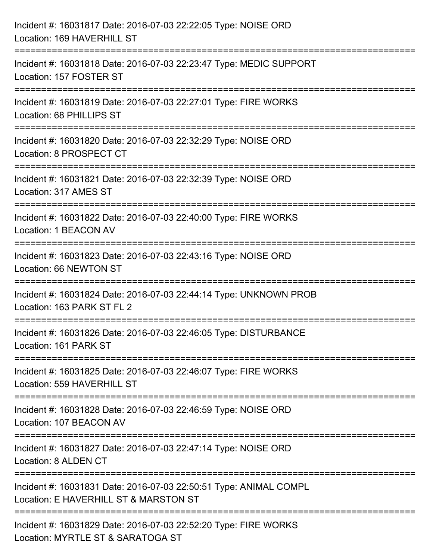| Incident #: 16031817 Date: 2016-07-03 22:22:05 Type: NOISE ORD<br>Location: 169 HAVERHILL ST                                        |
|-------------------------------------------------------------------------------------------------------------------------------------|
| ==================================<br>Incident #: 16031818 Date: 2016-07-03 22:23:47 Type: MEDIC SUPPORT<br>Location: 157 FOSTER ST |
| Incident #: 16031819 Date: 2016-07-03 22:27:01 Type: FIRE WORKS<br>Location: 68 PHILLIPS ST                                         |
| Incident #: 16031820 Date: 2016-07-03 22:32:29 Type: NOISE ORD<br>Location: 8 PROSPECT CT                                           |
| Incident #: 16031821 Date: 2016-07-03 22:32:39 Type: NOISE ORD<br>Location: 317 AMES ST                                             |
| Incident #: 16031822 Date: 2016-07-03 22:40:00 Type: FIRE WORKS<br>Location: 1 BEACON AV                                            |
| Incident #: 16031823 Date: 2016-07-03 22:43:16 Type: NOISE ORD<br>Location: 66 NEWTON ST                                            |
| Incident #: 16031824 Date: 2016-07-03 22:44:14 Type: UNKNOWN PROB<br>Location: 163 PARK ST FL 2                                     |
| Incident #: 16031826 Date: 2016-07-03 22:46:05 Type: DISTURBANCE<br>Location: 161 PARK ST                                           |
| Incident #: 16031825 Date: 2016-07-03 22:46:07 Type: FIRE WORKS<br>Location: 559 HAVERHILL ST                                       |
| Incident #: 16031828 Date: 2016-07-03 22:46:59 Type: NOISE ORD<br>Location: 107 BEACON AV                                           |
| Incident #: 16031827 Date: 2016-07-03 22:47:14 Type: NOISE ORD<br>Location: 8 ALDEN CT                                              |
| Incident #: 16031831 Date: 2016-07-03 22:50:51 Type: ANIMAL COMPL<br>Location: E HAVERHILL ST & MARSTON ST                          |
| Incident #: 16031829 Date: 2016-07-03 22:52:20 Type: FIRE WORKS<br>Location: MYRTLE ST & SARATOGA ST                                |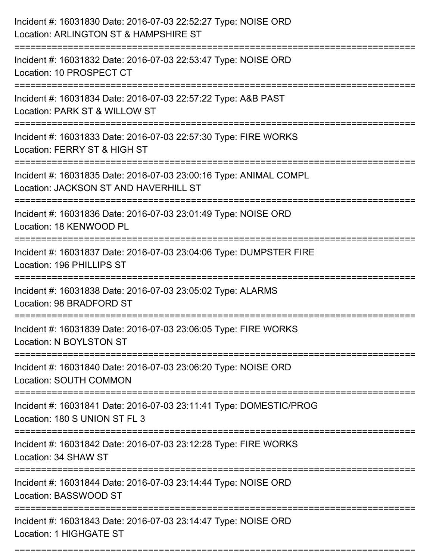| Incident #: 16031830 Date: 2016-07-03 22:52:27 Type: NOISE ORD<br>Location: ARLINGTON ST & HAMPSHIRE ST                            |
|------------------------------------------------------------------------------------------------------------------------------------|
| Incident #: 16031832 Date: 2016-07-03 22:53:47 Type: NOISE ORD<br>Location: 10 PROSPECT CT                                         |
| Incident #: 16031834 Date: 2016-07-03 22:57:22 Type: A&B PAST<br>Location: PARK ST & WILLOW ST                                     |
| Incident #: 16031833 Date: 2016-07-03 22:57:30 Type: FIRE WORKS<br>Location: FERRY ST & HIGH ST                                    |
| Incident #: 16031835 Date: 2016-07-03 23:00:16 Type: ANIMAL COMPL<br>Location: JACKSON ST AND HAVERHILL ST<br>==================== |
| Incident #: 16031836 Date: 2016-07-03 23:01:49 Type: NOISE ORD<br>Location: 18 KENWOOD PL                                          |
| Incident #: 16031837 Date: 2016-07-03 23:04:06 Type: DUMPSTER FIRE<br>Location: 196 PHILLIPS ST<br>=========================       |
| Incident #: 16031838 Date: 2016-07-03 23:05:02 Type: ALARMS<br>Location: 98 BRADFORD ST                                            |
| Incident #: 16031839 Date: 2016-07-03 23:06:05 Type: FIRE WORKS<br>Location: N BOYLSTON ST                                         |
| Incident #: 16031840 Date: 2016-07-03 23:06:20 Type: NOISE ORD<br><b>Location: SOUTH COMMON</b>                                    |
| Incident #: 16031841 Date: 2016-07-03 23:11:41 Type: DOMESTIC/PROG<br>Location: 180 S UNION ST FL 3                                |
| Incident #: 16031842 Date: 2016-07-03 23:12:28 Type: FIRE WORKS<br>Location: 34 SHAW ST                                            |
| Incident #: 16031844 Date: 2016-07-03 23:14:44 Type: NOISE ORD<br>Location: BASSWOOD ST                                            |
| Incident #: 16031843 Date: 2016-07-03 23:14:47 Type: NOISE ORD<br>Location: 1 HIGHGATE ST                                          |

===========================================================================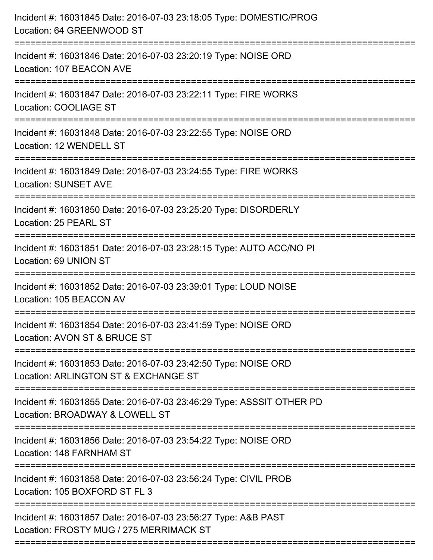| Incident #: 16031845 Date: 2016-07-03 23:18:05 Type: DOMESTIC/PROG<br>Location: 64 GREENWOOD ST                        |
|------------------------------------------------------------------------------------------------------------------------|
| Incident #: 16031846 Date: 2016-07-03 23:20:19 Type: NOISE ORD<br>Location: 107 BEACON AVE                             |
| Incident #: 16031847 Date: 2016-07-03 23:22:11 Type: FIRE WORKS<br>Location: COOLIAGE ST                               |
| Incident #: 16031848 Date: 2016-07-03 23:22:55 Type: NOISE ORD<br>Location: 12 WENDELL ST                              |
| Incident #: 16031849 Date: 2016-07-03 23:24:55 Type: FIRE WORKS<br><b>Location: SUNSET AVE</b>                         |
| Incident #: 16031850 Date: 2016-07-03 23:25:20 Type: DISORDERLY<br>Location: 25 PEARL ST                               |
| Incident #: 16031851 Date: 2016-07-03 23:28:15 Type: AUTO ACC/NO PI<br>Location: 69 UNION ST                           |
| Incident #: 16031852 Date: 2016-07-03 23:39:01 Type: LOUD NOISE<br>Location: 105 BEACON AV                             |
| Incident #: 16031854 Date: 2016-07-03 23:41:59 Type: NOISE ORD<br>Location: AVON ST & BRUCE ST                         |
| ============<br>Incident #: 16031853 Date: 2016-07-03 23:42:50 Type: NOISE ORD<br>Location: ARLINGTON ST & EXCHANGE ST |
| Incident #: 16031855 Date: 2016-07-03 23:46:29 Type: ASSSIT OTHER PD<br>Location: BROADWAY & LOWELL ST                 |
| Incident #: 16031856 Date: 2016-07-03 23:54:22 Type: NOISE ORD<br>Location: 148 FARNHAM ST                             |
| Incident #: 16031858 Date: 2016-07-03 23:56:24 Type: CIVIL PROB<br>Location: 105 BOXFORD ST FL 3                       |
| Incident #: 16031857 Date: 2016-07-03 23:56:27 Type: A&B PAST<br>Location: FROSTY MUG / 275 MERRIMACK ST               |